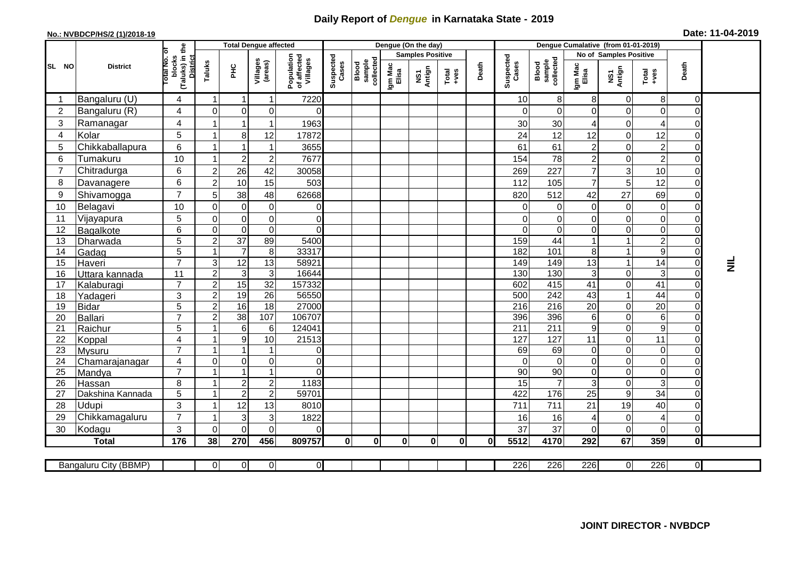## **Daily Report of** *Dengue* **in Karnataka State - 2019**

## **No.: NVBDCP/HS/2 (1)/2018-19 Date: 11-04-2019**

|                                                                                                                                                         | <b>District</b>           |                                                              | <b>Total Dengue affected</b> |                                  |                                  |                                       |                    |                              |                         | Dengue (On the day) |                                                              |              |                    |                              |                           |                                  |                                                                      |                      |                 |
|---------------------------------------------------------------------------------------------------------------------------------------------------------|---------------------------|--------------------------------------------------------------|------------------------------|----------------------------------|----------------------------------|---------------------------------------|--------------------|------------------------------|-------------------------|---------------------|--------------------------------------------------------------|--------------|--------------------|------------------------------|---------------------------|----------------------------------|----------------------------------------------------------------------|----------------------|-----------------|
| SL NO                                                                                                                                                   |                           |                                                              |                              |                                  |                                  |                                       |                    | sample<br>collected<br>Blood | <b>Samples Positive</b> |                     |                                                              |              |                    |                              | No of Samples Positive    |                                  |                                                                      |                      |                 |
|                                                                                                                                                         |                           | (Taluks) in the<br>Total No. of<br>blocks<br><b>District</b> | Taluks                       | PНC                              | Villages<br>(areas)              | Population<br>of affected<br>Villages | Suspected<br>Cases |                              | Igm Mac<br>Elisa        | NS1<br>Antign       | $\begin{array}{c}\n\text{Total} \\ \text{+ves}\n\end{array}$ | Death        | Suspected<br>Cases | Blood<br>sample<br>collected | Igm Mac<br>Elisa          | NS1<br>Antign                    | $\begin{array}{c}\n\text{Total} \\ \text{1} & \text{1}\n\end{array}$ | Death                |                 |
|                                                                                                                                                         | Bangaluru (U)             | 4                                                            | $\mathbf 1$                  | $\mathbf{1}$                     | 1                                | 7220                                  |                    |                              |                         |                     |                                                              |              | 10                 | 8                            | 8                         | 0                                | 8                                                                    | 0                    |                 |
| $\overline{2}$                                                                                                                                          | Bangaluru (R)             | 4                                                            | $\Omega$                     | $\Omega$                         | $\mathbf 0$                      | $\Omega$                              |                    |                              |                         |                     |                                                              |              | 0                  | $\Omega$                     | $\mathbf 0$               | $\Omega$                         | $\mathbf 0$                                                          | 0                    |                 |
| 3                                                                                                                                                       | Ramanagar                 | 4                                                            | -1                           | 1                                |                                  | 1963                                  |                    |                              |                         |                     |                                                              |              | 30                 | 30                           | 4                         | $\overline{0}$                   | 4                                                                    | 0                    |                 |
| $\overline{4}$                                                                                                                                          | Kolar                     | 5                                                            | $\overline{\mathbf{1}}$      | 8 <sup>1</sup>                   | 12                               | 17872                                 |                    |                              |                         |                     |                                                              |              | 24                 | 12                           | 12                        | $\overline{0}$                   | 12                                                                   | 0                    |                 |
| 5                                                                                                                                                       | Chikkaballapura           | 6                                                            | -1                           |                                  | 1                                | 3655                                  |                    |                              |                         |                     |                                                              |              | 61                 | 61                           | $\sqrt{2}$                | $\Omega$                         | $\overline{c}$                                                       | 0                    |                 |
| 6                                                                                                                                                       | Tumakuru                  | 10                                                           |                              | $2^{\circ}$                      | $\overline{c}$                   | 7677                                  |                    |                              |                         |                     |                                                              |              | 154                | 78                           | $\overline{2}$            | $\Omega$                         | $\overline{c}$                                                       | $\Omega$             |                 |
| $\overline{7}$                                                                                                                                          | Chitradurga               | 6                                                            | $\overline{c}$               | 26                               | 42                               | 30058                                 |                    |                              |                         |                     |                                                              |              | 269                | 227                          | $\overline{7}$            | 3                                | 10                                                                   | 0                    |                 |
| 8                                                                                                                                                       | Davanagere                | 6                                                            | $\overline{2}$               | 10                               | 15                               | 503                                   |                    |                              |                         |                     |                                                              |              | 112                | 105                          | $\overline{7}$            | 5                                | $\overline{12}$                                                      | 0                    |                 |
| 9                                                                                                                                                       | Shivamogga                | $\overline{7}$                                               | 5                            | 38                               | 48                               | 62668                                 |                    |                              |                         |                     |                                                              |              | 820                | 512                          | 42                        | 27                               | 69                                                                   | 0                    |                 |
| 10                                                                                                                                                      | Belagavi                  | 10                                                           | $\Omega$                     | $\mathbf 0$                      | $\mathbf 0$                      | 0                                     |                    |                              |                         |                     |                                                              |              | 0                  | 0                            | 0                         | $\overline{0}$                   | $\mathbf 0$                                                          | 0                    |                 |
| 11                                                                                                                                                      | Vijayapura                | 5                                                            | $\Omega$                     | $\overline{0}$                   | 0                                | $\mathbf 0$                           |                    |                              |                         |                     |                                                              |              | 0                  | 0                            | $\mathbf 0$               | 0                                | $\mathsf 0$                                                          | 0                    |                 |
| 12                                                                                                                                                      | Bagalkote                 | 6                                                            | $\Omega$                     | $\Omega$                         | $\mathbf 0$                      | $\mathbf 0$                           |                    |                              |                         |                     |                                                              |              | $\Omega$           | $\mathbf 0$                  | $\Omega$                  | $\Omega$                         | $\mathbf 0$                                                          | $\Omega$             |                 |
| 13                                                                                                                                                      | Dharwada                  | $\overline{5}$                                               | $\overline{c}$               | 37                               | 89                               | 5400                                  |                    |                              |                         |                     |                                                              |              | 159                | 44                           |                           |                                  | $\overline{2}$                                                       | 0                    |                 |
| 14                                                                                                                                                      | Gadag                     | $\overline{5}$                                               | -1                           | $\overline{7}$                   | $\,8\,$                          | 33317                                 |                    |                              |                         |                     |                                                              |              | 182                | 101                          | 8                         | $\mathbf 1$                      | $\boldsymbol{9}$                                                     | 0                    |                 |
| 15                                                                                                                                                      | Haveri                    | $\overline{7}$                                               | 3                            | $\overline{12}$                  | 13                               | 58921                                 |                    |                              |                         |                     |                                                              |              | 149                | 149                          | 13                        | $\mathbf{1}$                     | 14                                                                   | $\overline{0}$       | $\bar{\bar{z}}$ |
| 16                                                                                                                                                      | Uttara kannada            | 11                                                           | $\overline{2}$               | 3 <sup>1</sup>                   | $\sqrt{3}$                       | 16644                                 |                    |                              |                         |                     |                                                              |              | 130                | 130                          | $\ensuremath{\mathsf{3}}$ | $\overline{0}$                   | 3                                                                    | $\overline{0}$       |                 |
| 17                                                                                                                                                      | Kalaburagi                | $\overline{7}$                                               | $\overline{2}$               | 15                               | $\overline{32}$                  | 157332                                |                    |                              |                         |                     |                                                              |              | 602                | 415                          | $\overline{41}$           | $\overline{0}$                   | $\overline{41}$                                                      | 0                    |                 |
| 18                                                                                                                                                      | Yadageri                  | 3                                                            | $\overline{c}$               | 19                               | 26                               | 56550                                 |                    |                              |                         |                     |                                                              |              | 500                | 242                          | 43                        | $\mathbf{1}$                     | 44                                                                   | 0                    |                 |
| 19                                                                                                                                                      | Bidar                     | 5                                                            | $\overline{c}$               | 16                               | $\overline{18}$                  | 27000                                 |                    |                              |                         |                     |                                                              |              | 216                | $\overline{216}$             | $\overline{20}$           | $\overline{0}$                   | $\overline{20}$                                                      | 0                    |                 |
| 20                                                                                                                                                      | Ballari                   | $\overline{7}$                                               | $\overline{c}$               | 38                               | 107                              | 106707                                |                    |                              |                         |                     |                                                              |              | 396                | 396                          | $\,6$                     | $\overline{0}$                   | 6                                                                    | 0                    |                 |
| 21                                                                                                                                                      | Raichur                   | 5                                                            |                              | $6 \mid$                         | 6                                | 124041                                |                    |                              |                         |                     |                                                              |              | 211                | $\overline{211}$             | $\boldsymbol{9}$          | $\overline{0}$                   | $\boldsymbol{9}$                                                     | $\Omega$             |                 |
| 22                                                                                                                                                      | Koppal                    | 4                                                            |                              | 9                                | 10                               | 21513                                 |                    |                              |                         |                     |                                                              |              | 127                | 127                          | 11                        | $\overline{0}$                   | $\overline{11}$                                                      | $\overline{0}$       |                 |
| 23                                                                                                                                                      | <b>Mysuru</b>             | $\overline{7}$                                               |                              |                                  | 1                                | 0                                     |                    |                              |                         |                     |                                                              |              | 69                 | 69                           | $\mathbf 0$               | $\overline{0}$                   | $\overline{0}$                                                       | 0                    |                 |
| 24                                                                                                                                                      | Chamarajanagar            | 4<br>$\overline{7}$                                          | $\Omega$                     | $\Omega$                         | $\mathbf 0$                      | $\overline{0}$                        |                    |                              |                         |                     |                                                              |              | $\Omega$           | $\Omega$                     | $\Omega$                  | $\Omega$                         | $\overline{0}$                                                       | 0                    |                 |
| 25                                                                                                                                                      | Mandya                    |                                                              | -1                           | 1                                | $\overline{1}$                   | $\Omega$                              |                    |                              |                         |                     |                                                              |              | 90                 | 90                           | 0                         | $\overline{0}$                   | $\overline{\mathsf{o}}$                                              | 0                    |                 |
| 26                                                                                                                                                      | Hassan                    | 8<br>$\overline{5}$                                          | $\overline{1}$               | 2 <sup>1</sup><br>$\overline{2}$ | $\overline{c}$<br>$\overline{2}$ | 1183<br>59701                         |                    |                              |                         |                     |                                                              |              | 15<br>422          | $\overline{7}$<br>176        | 3<br>$\overline{25}$      | $\overline{0}$<br>9 <sup>1</sup> | 3<br>34                                                              | 0<br>0               |                 |
| 27<br>28                                                                                                                                                | Dakshina Kannada<br>Udupi | $\mathfrak{S}$                                               | -1                           |                                  |                                  |                                       |                    |                              |                         |                     |                                                              |              |                    | 711                          |                           |                                  |                                                                      |                      |                 |
| 29                                                                                                                                                      |                           | $\overline{7}$                                               |                              | 12<br>3                          | 13                               | 8010                                  |                    |                              |                         |                     |                                                              |              | 711                |                              | 21                        | 19<br>$\mathbf 0$                | 40<br>4                                                              | $\Omega$<br>$\Omega$ |                 |
|                                                                                                                                                         | Chikkamagaluru            | 3                                                            | $\Omega$                     | $\Omega$                         | 3<br>$\Omega$                    | 1822<br>$\Omega$                      |                    |                              |                         |                     |                                                              |              | 16<br>37           | 16<br>37                     | 4<br>$\Omega$             | $\Omega$                         | 0                                                                    | $\Omega$             |                 |
| 30                                                                                                                                                      | Kodagu<br><b>Total</b>    | 176                                                          | 38                           | 270                              | 456                              | 809757                                | $\mathbf{0}$       | $\bf{0}$                     | $\bf{0}$                | $\bf{0}$            | $\mathbf{0}$                                                 | $\mathbf{0}$ | 5512               | 4170                         | 292                       | 67                               | 359                                                                  | $\overline{0}$       |                 |
|                                                                                                                                                         |                           |                                                              |                              |                                  |                                  |                                       |                    |                              |                         |                     |                                                              |              |                    |                              |                           |                                  |                                                                      |                      |                 |
| 226<br>226<br>226<br>226<br>$\overline{0}$<br>$\overline{0}$<br>$\overline{0}$<br>$\overline{0}$<br>$\overline{0}$<br>Bangaluru City (BBMP)<br>$\Omega$ |                           |                                                              |                              |                                  |                                  |                                       |                    |                              |                         |                     |                                                              |              |                    |                              |                           |                                  |                                                                      |                      |                 |